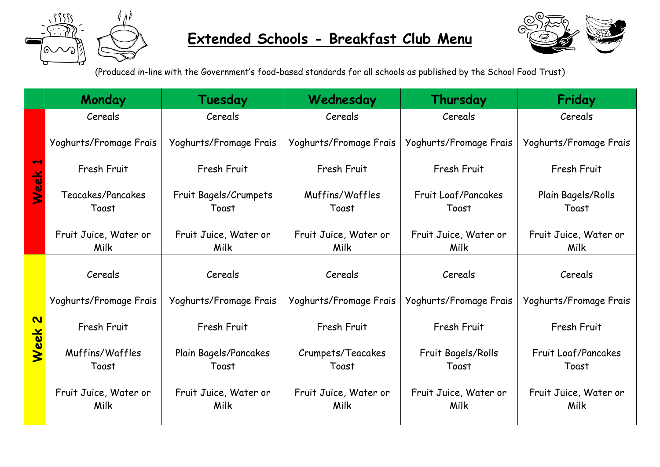

## **Extended Schools - Breakfast Club Menu**



(Produced in-line with the Government's food-based standards for all schools as published by the School Food Trust)

|                                  | Monday                        | Tuesday                        | Wednesday                     | Thursday                      | Friday                        |
|----------------------------------|-------------------------------|--------------------------------|-------------------------------|-------------------------------|-------------------------------|
| $\overline{\phantom{0}}$<br>Week | Cereals                       | Cereals                        | Cereals                       | Cereals                       | Cereals                       |
|                                  | Yoghurts/Fromage Frais        | Yoghurts/Fromage Frais         | Yoghurts/Fromage Frais        | Yoghurts/Fromage Frais        | Yoghurts/Fromage Frais        |
|                                  | Fresh Fruit                   | Fresh Fruit                    | Fresh Fruit                   | Fresh Fruit                   | Fresh Fruit                   |
|                                  | Teacakes/Pancakes<br>Toast    | Fruit Bagels/Crumpets<br>Toast | Muffins/Waffles<br>Toast      | Fruit Loaf/Pancakes<br>Toast  | Plain Bagels/Rolls<br>Toast   |
|                                  | Fruit Juice, Water or<br>Milk | Fruit Juice, Water or<br>Milk  | Fruit Juice, Water or<br>Milk | Fruit Juice, Water or<br>Milk | Fruit Juice, Water or<br>Milk |
| $\overline{\mathbf{C}}$<br>Week  | Cereals                       | Cereals                        | Cereals                       | Cereals                       | Cereals                       |
|                                  | Yoghurts/Fromage Frais        | Yoghurts/Fromage Frais         | Yoghurts/Fromage Frais        | Yoghurts/Fromage Frais        | Yoghurts/Fromage Frais        |
|                                  | Fresh Fruit                   | Fresh Fruit                    | Fresh Fruit                   | Fresh Fruit                   | Fresh Fruit                   |
|                                  | Muffins/Waffles<br>Toast      | Plain Bagels/Pancakes<br>Toast | Crumpets/Teacakes<br>Toast    | Fruit Bagels/Rolls<br>Toast   | Fruit Loaf/Pancakes<br>Toast  |
|                                  | Fruit Juice, Water or<br>Milk | Fruit Juice, Water or<br>Milk  | Fruit Juice, Water or<br>Milk | Fruit Juice, Water or<br>Milk | Fruit Juice, Water or<br>Milk |